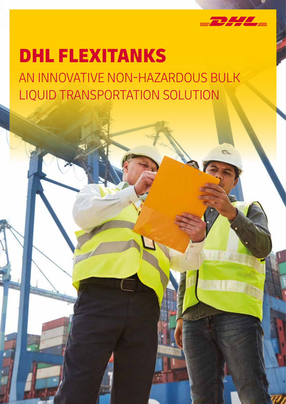

# DHL FLEXITANKS

AN INNOVATIVE NON-HAZARDOUS BULK LIQUID TRANSPORTATION SOLUTION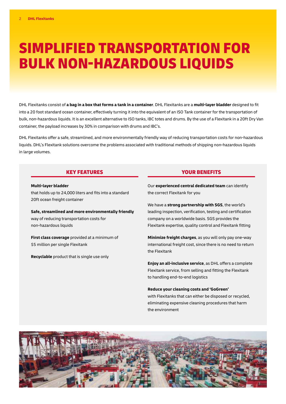# SIMPLIFIED TRANSPORTATION FOR BULK NON-HAZARDOUS LIQUIDS

DHL Flexitanks consist of **a bag in a box that forms a tank in a container**. DHL Flexitanks are a **multi-layer bladder** designed to fit into a 20 foot standard ocean container, effectively turning it into the equivalent of an ISO Tank container for the transportation of bulk, non-hazardous liquids. It is an excellent alternative to ISO tanks, IBC totes and drums. By the use of a Flexitank in a 20ft Dry Van container, the payload increases by 30% in comparison with drums and IBC's.

DHL Flexitanks offer a safe, streamlined, and more environmentally friendly way of reducing transportation costs for non-hazardous liquids. DHL's Flexitank solutions overcome the problems associated with traditional methods of shipping non-hazardous liquids in large volumes.

#### KEY FEATURES YOUR BENEFITS

#### **Multi-layer bladder**

that holds up to 24,000 liters and fits into a standard 20ft ocean freight container

**Safe, streamlined and more environmentally friendly** way of reducing transportation costs for non-hazardous liquids

**First class coverage** provided at a minimum of \$5 million per single Flexitank

**Recyclable** product that is single use only

Our **experienced central dedicated team** can identify the correct Flexitank for you

We have a **strong partnership with SGS**, the world's leading inspection, verification, testing and certification company on a worldwide basis. SGS provides the Flexitank expertise, quality control and Flexitank fitting

**Minimize freight charges**, as you will only pay one-way international freight cost, since there is no need to return the Flexitank

**Enjoy an all-inclusive service**, as DHL offers a complete Flexitank service, from selling and fitting the Flexitank to handling end-to-end logistics

#### **Reduce your cleaning costs and 'GoGreen'**

with Flexitanks that can either be disposed or recycled, eliminating expensive cleaning procedures that harm the environment

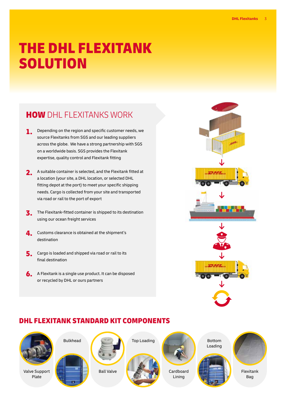# THE DHL FLEXITANK SOLUTION

## **HOW** DHL FLEXITANKS WORK

- **1.** Depending on the region and specific customer needs, we source Flexitanks from SGS and our leading suppliers across the globe. We have a strong partnership with SGS on a worldwide basis. SGS provides the Flexitank expertise, quality control and Flexitank fitting
- 2. A suitable container is selected, and the Flexitank fitted at a location (your site, a DHL location, or selected DHL fitting depot at the port) to meet your specific shipping needs. Cargo is collected from your site and transported via road or rail to the port of export
- **3.** The Flexitank-fitted container is shipped to its destination using our ocean freight services
- 4. Customs clearance is obtained at the shipment's destination
- 5. Cargo is loaded and shipped via road or rail to its final destination
- 6. A Flexitank is a single use product. It can be disposed or recycled by DHL or ours partners



## DHL FLEXITANK STANDARD KIT COMPONENTS





Ball Valve



Cardboard Lining





Flexitank Bag